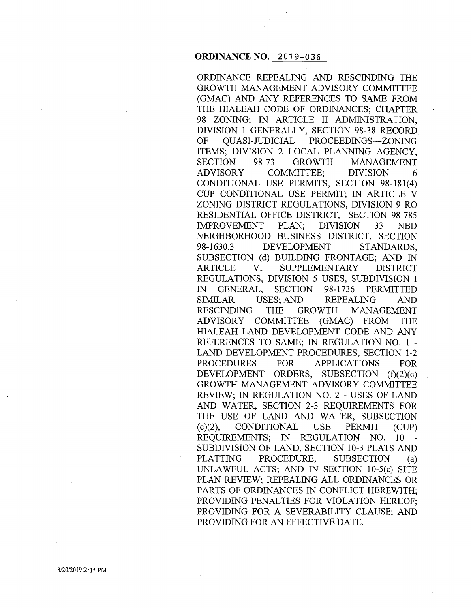# **ORDINANCE NO.** 2019-036

ORDINANCE REPEALING AND RESCINDING THE GROWTH MANAGEMENT ADVISORY COMMITTEE (GMAC) AND ANY REFERENCES TO SAME FROM THE HIALEAH CODE OF ORDINANCES; CHAPTER 98 ZONING; IN ARTICLE II ADMINISTRATION, DIVISION 1 GENERALLY, SECTION 98-38 RECORD OF QUASI-JUDICIAL PROCEEDINGS-ZONING ITEMS; DIVISION 2 LOCAL PLANNING AGENCY, SECTION 98-73 GROWTH MANAGEMENT ADVISORY COMMITTEE; DIVISION 6 CONDITIONAL USE PERMITS, SECTION 98-181(4) CUP CONDITIONAL USE PERMIT; IN ARTICLE V ZONING DISTRICT REGULATIONS, DIVISION 9 RO RESIDENTIAL OFFICE DISTRICT, SECTION 98-785 IMPROVEMENT PLAN; DIVISION 33 NBD NEIGHBORHOOD BUSINESS DISTRICT, SECTION 98-1630.3 DEVELOPMENT STANDARDS, SUBSECTION (d) BUILDING FRONTAGE; AND IN ARTICLE VI SUPPLEMENTARY DISTRICT REGULATIONS, DIVISION 5 USES, SUBDIVISION I IN GENERAL, SECTION 98-1736 PERMITTED SIMILAR USES; AND REPEALING AND RESCINDING · THE GROWTH MANAGEMENT ADVISORY COMMITTEE (GMAC) FROM THE HIALEAH LAND DEVELOPMENT CODE AND ANY REFERENCES TO SAME; IN REGULATION NO. 1 - LAND DEVELOPMENT PROCEDURES, SECTION 1-2 PROCEDURES FOR APPLICATIONS FOR DEVELOPMENT ORDERS, SUBSECTION (f)(2)(c) GROWTH MANAGEMENT ADVISORY COMMITTEE REVIEW; IN REGULATION NO.2- USES OF LAND AND WATER, SECTION 2-3 REQUIREMENTS FOR THE USE OF LAND AND WATER, SUBSECTION (c)(2), CONDITIONAL USE PERMIT (CUP) REQUIREMENTS; IN REGULATION NO. 10 - SUBDIVISION OF LAND, SECTION 10-3 PLATS AND PLATTING PROCEDURE, SUBSECTION (a) UNLAWFUL ACTS; AND IN SECTION 10-5(c) SITE PLAN REVIEW; REPEALING ALL ORDINANCES OR PARTS OF ORDINANCES IN CONFLICT HEREWITH; PROVIDING PENALTIES FOR VIOLATION HEREOF; PROVIDING FOR A SEVERABILITY CLAUSE; AND PROVIDING FOR AN EFFECTIVE DATE.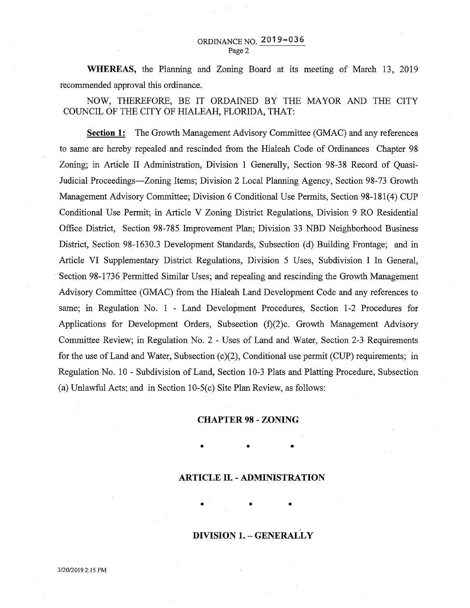**WHEREAS,** the Planning and Zoning Board at its meeting of March 13, 2019 recommended approval this ordinance.

NOW, THEREFORE, BE IT ORDAINED BY THE MAYOR AND THE CITY COUNCIL OF THE CITY OF HIALEAH, FLORIDA, THAT:

**Section 1:** The Growth Management Advisory Committee (GMAC) and any references to same are hereby repealed and rescinded from the Hialeah Code of Ordinances Chapter 98 Zoning; in Article II Administration, Division 1 Generally, Section 98-38 Record of Quasi-Judicial Proceedings-Zoning Items; Division 2 Local Planning Agency, Section 98-73 Growth Management Advisory Committee; Division 6 Conditional Use Permits, Section 98-181(4) CUP Conditional Use Permit; in Article V Zoning District Regulations, Division 9 RO Residential Office District, Section 98-785 Improvement Plan; Division 33 NBD Neighborhood Business District, Section 98-1630.3 Development Standards, Subsection (d) Building Frontage; and in Article VI Supplementary District Regulations, Division 5 Uses, Subdivision I In General, Section 98-1736 Permitted Similar Uses; and repealing and rescinding the Growth Management Advisory Committee (GMAC) from the Hialeah Land Development Code and any references to same; in Regulation No. 1 - Land Development Procedures, Section 1-2 Procedures for Applications for Development Orders, Subsection (f)(2)c. Growth Management Advisory Committee Review; in Regulation No. 2 - Uses of Land and Water, Section 2-3 Requirements for the use of Land and Water, Subsection (c)(2), Conditional use permit (CUP) requirements; in Regulation No. 10 - Subdivision of Land, Section 10-3 Plats and Platting Procedure, Subsection (a) Unlawful Acts; and in Section 10-5(c) Site Plan Review, as follows:

#### **CHAPTER 98- ZONING**

**ARTICLE II.- ADMINISTRATION** 

• • •

 $\bullet$   $\bullet$   $\bullet$   $\bullet$   $\bullet$   $\bullet$ 

# **DIVISION 1. -GENERALLY**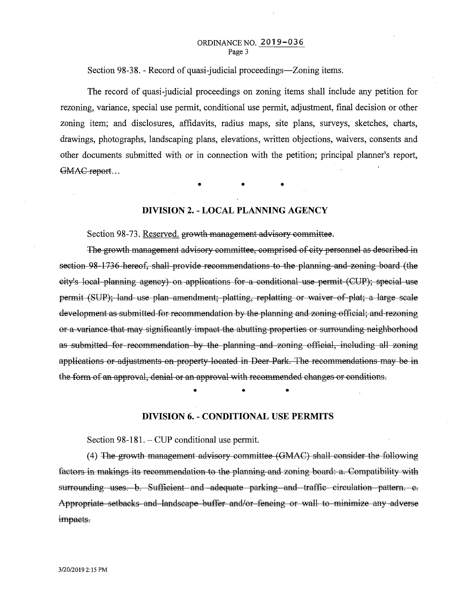#### ORDINANCENO. 2019-036 Page 3

Section 98-38. - Record of quasi-judicial proceedings—Zoning items.

The record of quasi-judicial proceedings on zoning items shall include any petition for rezoning, variance, special use permit, conditional use permit, adjustment, final decision or other zoning item; and disclosures, affidavits, radius maps, site plans, surveys, sketches, charts, drawings, photographs, landscaping plans, elevations, written objections, waivers, consents and other documents submitted with or in connection with the petition; principal planner's report, GMAC report...

 $\bullet$  •  $\bullet$  •  $\bullet$  •  $\bullet$ 

# **DIVISION 2. -LOCAL PLANNING AGENCY**

Section 98-73. Reserved. growth management advisory committee.

The growth management advisory committee, comprised of city personnel as described in section 98-1736 hereof, shall provide recommendations to the planning and zoning board (the city's local planning agency) on applications for a conditional use permit (CUP); special use permit (SUP); land use plan amendment; platting, replatting or waiver of plat; a large scale development as submitted for recommendation by the planning and zoning official; and rezoning or a variance that may significantly impact the abutting properties or surrounding neighborhood as submitted for recommendation by the planning and zoning official, including all zoning applications or adjustments on property located in Deer Park. The recommendations may be in the form of an approval, denial or an approval with recommended changes or conditions .

• • •

## **DIVISION 6. - CONDITIONAL USE PERMITS**

Section 98-181. – CUP conditional use permit.

(4) The growth management advisory committee (GMAC) shall consider the following factors in makings its recommendation to the planning and zoning board: a. Compatibility with surrounding uses. b. Sufficient and adequate parking and traffic circulation pattern. e. Appropriate setbacks and landscape buffer and/or fencing or wall to minimize any adverse impacts.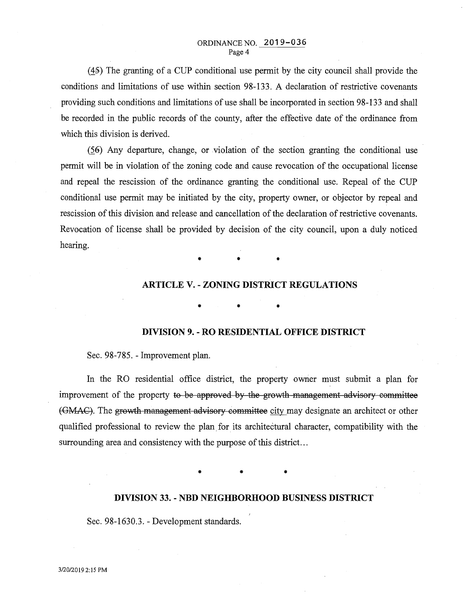$(45)$  The granting of a CUP conditional use permit by the city council shall provide the conditions and limitations of use within section 98-133. A declaration of restrictive covenants providing such conditions and limitations of use shall be incorporated in section 98-133 and shall be recorded in the public records of the county, after the effective date of the ordinance from which this division is derived.

 $(56)$  Any departure, change, or violation of the section granting the conditional use permit will be in violation of the zoning code and cause revocation of the occupational license and repeal the rescission of the ordinance granting the conditional use. Repeal of the CUP conditional use permit may be initiated by the city, property owner, or objector by repeal and rescission of this division and release and cancellation of the declaration of restrictive covenants. Revocation of license shall be provided by decision of the city council, upon a duly noticed hearing.

• • •

## **ARTICLE** V.- **ZONING DISTRICT REGULATIONS**

 $\bullet$   $\bullet$   $\bullet$   $\bullet$   $\bullet$   $\bullet$ 

# **DIVISION 9. - RO RESIDENTIAL OFFICE DISTRICT**

Sec. 98-785. - Improvement plan.

In the RO residential office district, the property owrier must submit a plan for improvement of the property to be approved by the growth management advisory committee (GMAC). The growth management advisory committee city may designate an architect or other qualified professional to review the plan, for its architectural character, compatibility with the surrounding area and consistency with the purpose of this district...

• • •

## **DIVISION 33. - NBD NEIGHBORHOOD BUSINESS DISTRICT**

Sec. 98-1630.3.- Development standards.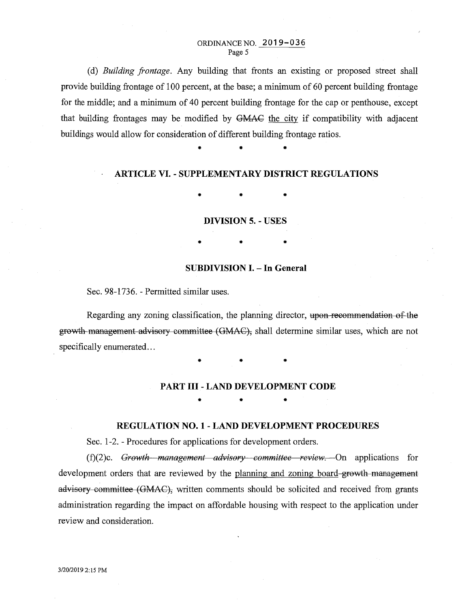#### ORDINANCE NO. 2019-036 Page 5

(d) *Building frontage.* Any building that fronts an existing or proposed street shall provide building frontage of 1 00 percent, at the base; a minimum of 60 percent building frontage for the middle; and a minimum of 40 percent building frontage for the cap or penthouse, except that building frontages may be modified by GMAC the city if compatibility with adjacent buildings would allow for consideration of different building frontage ratios .

# **ARTICLE VI.- SUPPLEMENTARY DISTRICT REGULATIONS**

• • •

• • •

## **DIVISION 5. - USES**

• • •

# **SUBDIVISION I. - In General**

Sec. 98-1736. - Permitted similar uses.

Regarding any zoning classification, the planning director, upon recommendation of the growth management advisory committee (GMAC), shall determine similar uses, which are not specifically enumerated...

 $\frac{1}{2}$  **+**  $\frac{1}{2}$  **+** 

## **PART III- LAND DEVELOPMENT CODE**

 $\bullet$   $\bullet$   $\bullet$   $\bullet$   $\bullet$ 

#### **REGULATION NO. 1- LAND DEVELOPMENT PROCEDURES**

Sec. 1-2. - Procedures for applications for development orders.

(f)(2)c. *Gro·wth management advisory committee revieVrl.* On applications for development orders that are reviewed by the planning and zoning board-growth management advisory committee (GMAC), written comments should be solicited and received from grants administration regarding the impact on affordable housing with respect to the application under review and consideration.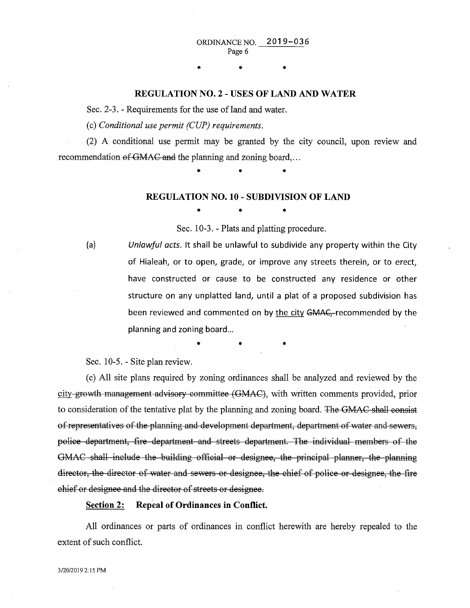## REGULATION NO.2- USES OF LAND AND WATER

 $\bullet$   $\bullet$   $\bullet$   $\bullet$ 

Sec. 2-3. - Requirements for the use of land and water.

(c) *Conditional use permit (CUP) requirements.* 

(2) A conditional use permit may be granted by the city council, upon review and recommendation of GMAC and the planning and zoning board,...

• • •

#### REGULATION NO. 10- SUBDIVISION OF LAND

• • •

Sec. 10-3. - Plats and platting procedure.

(a) *Unlawful acts.* It shall be unlawful to subdivide any property within the City of Hialeah, or to open, grade, or improve any streets therein, or to erect, have constructed or cause to be constructed any residence or other structure on any unplatted land, until a plat of a proposed subdivision has been reviewed and commented on by the city GMAC, recommended by the planning and zoning board...

 $\bullet$  •  $\bullet$  •  $\bullet$  •  $\bullet$  •  $\bullet$  •

Sec. 10-5.- Site plan review.

(c) All site plans required by zoning ordinances shall be analyzed and reviewed by the city growth management advisory committee (GMAC), with written comments provided, prior to consideration of the tentative plat by the planning and zoning board. The GMAC shall consist of representatives of the planning and development department, department of water and sewers, police department, fire department and streets department. The individual members of the GMAC shall include the building official or designee, the principal planner, the planning director, the director of water and sewers or designee, the chief of police or designee, the fire chief or designee and the director of streets or designee.

#### Section 2: Repeal of Ordinances in Conflict.

All ordinances or parts of ordinances in conflict herewith are hereby repealed to the extent of such conflict.